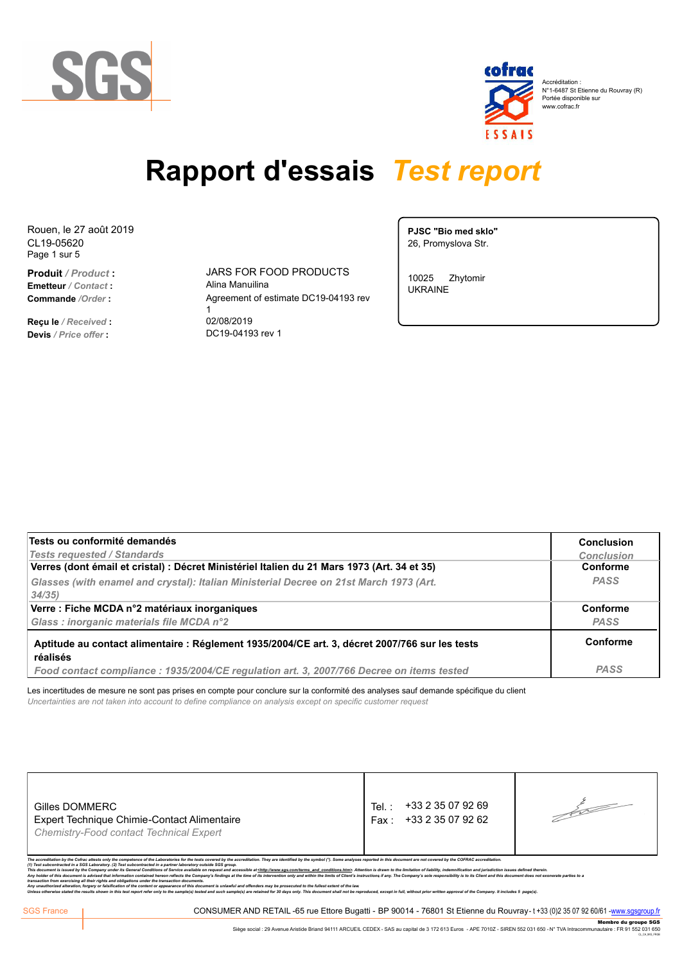

| cofrac | Accréditation:<br>N°1-6487 St Etienne du Rouvray (R)<br>Portée disponible sur<br>www.cofrac.fr |
|--------|------------------------------------------------------------------------------------------------|
| ESSAIS |                                                                                                |

CL19-05620 Rouen, le 27 août 2019 Page 1 sur 5

**Emetteur** */ Contact* **:** Alina Manuilina

**Reçu le** */ Received* **:** 02/08/2019 **Devis** */ Price offer* **:** DC19-04193 rev 1

**Produit** */ Product* **:** JARS FOR FOOD PRODUCTS **Commande** /Order : <br>
Agreement of estimate DC19-04193 rev  $1$ 

**PJSC "Bio med sklo"** 26, Promyslova Str.

10025 Zhytomir UKRAINE

| Tests ou conformité demandés                                                                   | <b>Conclusion</b> |
|------------------------------------------------------------------------------------------------|-------------------|
| <b>Tests requested / Standards</b>                                                             | <b>Conclusion</b> |
| Verres (dont émail et cristal) : Décret Ministériel Italien du 21 Mars 1973 (Art. 34 et 35)    | Conforme          |
| Glasses (with enamel and crystal): Italian Ministerial Decree on 21st March 1973 (Art.         | <b>PASS</b>       |
| 34/35                                                                                          |                   |
| Verre : Fiche MCDA n°2 matériaux inorganiques                                                  | Conforme          |
| Glass : inorganic materials file MCDA n°2                                                      | <b>PASS</b>       |
| Aptitude au contact alimentaire : Réglement 1935/2004/CE art. 3, décret 2007/766 sur les tests | Conforme          |
| réalisés                                                                                       |                   |
| Food contact compliance: 1935/2004/CE regulation art. 3, 2007/766 Decree on items tested       | <b>PASS</b>       |

Les incertitudes de mesure ne sont pas prises en compte pour conclure sur la conformité des analyses sauf demande spécifique du client *Uncertainties are not taken into account to define compliance on analysis except on specific customer request*

| +33 2 35 07 92 62<br>Expert Technique Chimie-Contact Alimentaire<br>Fax :<br>Chemistry-Food contact Technical Expert | Gilles DOMMERC | +33 2 35 07 92 69<br>Tel. |  |
|----------------------------------------------------------------------------------------------------------------------|----------------|---------------------------|--|
|----------------------------------------------------------------------------------------------------------------------|----------------|---------------------------|--|

sts only the competence of the Laboratories for the tests covered by the ac<br>oratory. (2) Test subcontracted in a partner laboratory outside SGS group.

This document is issued by the Company under its General Conditions of Service available on request and accessible at <http://www.sgs.com/terms and conditions.htm>. Attention is drawn to the limitation of liability, indemn

Any holder of this document is advised that information contained hereon reflects the company's findings at the time of its intervention only and within the limits of Client's instructions if any. The Company's sole respon

CONSUMER AND RETAIL -65 rue Ettore Bugatti - BP 90014 - 76801 St Etienne du Rouvray- t +33 (0)2 35 07 92 60/61 -<mark>www.sgsgroup.fr</mark><br>Siège social : 29 Avenue Aristide Briand 94111 ARCUEIL CEDEX - SAS au capital de 3 172 613 E Membre du groupe SGS Siège social : 29 Avenue Aristide Briand 94111 ARCUEIL CEDEX - SAS au capital de 3 172 613 Euros - APE 7010Z - SIREN 552 031 650 - N° TVA Intracommunautaire : FR 91 552 031 650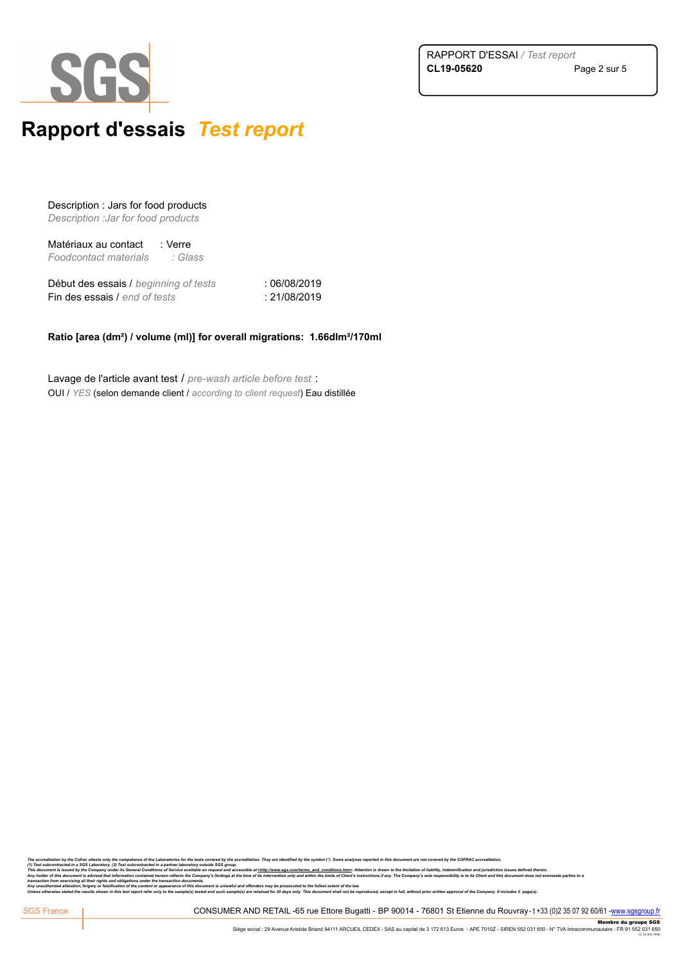



Description : Jars for food products *Description :Jar for food products*

Matériaux au contact : Verre *Foodcontact materials : Glass* 

Début des essais / *beginning of tests* : 06/08/2019 Fin des essais / *end of tests* : 21/08/2019

### **Ratio [area (dm²) / volume (ml)] for overall migrations: 1.66dlm²/170ml**

Lavage de l'article avant test / *pre-wash article before test* : OUI / *YES* (selon demande client / *according to client request*) Eau distillée

The accrediation by the Corinz attests only the competence of the Laboratories for the tests covered by the accreditation. They are identified by the symbol ("). Some analyses reported in this document are not covered by t

only ne competence or ne Laboratores for the ests covered by une successible architectum. Inty are neurated by the symbol ( ), some analyses reported in this countermal entrol covered by the UN-AND statements of the consta Any holder of this document is advised that information contained hereon reflects the company's findings at the time of its intervention only and within the limits of Client's instructions if any. The Company's sole respon

Any mauthorized alteration, forger or faisfication of the content or appearance of this document is unlawful and offenders may be prosecuted to the fullest extent of the law<br>Unless otherwise stated the results shown in thi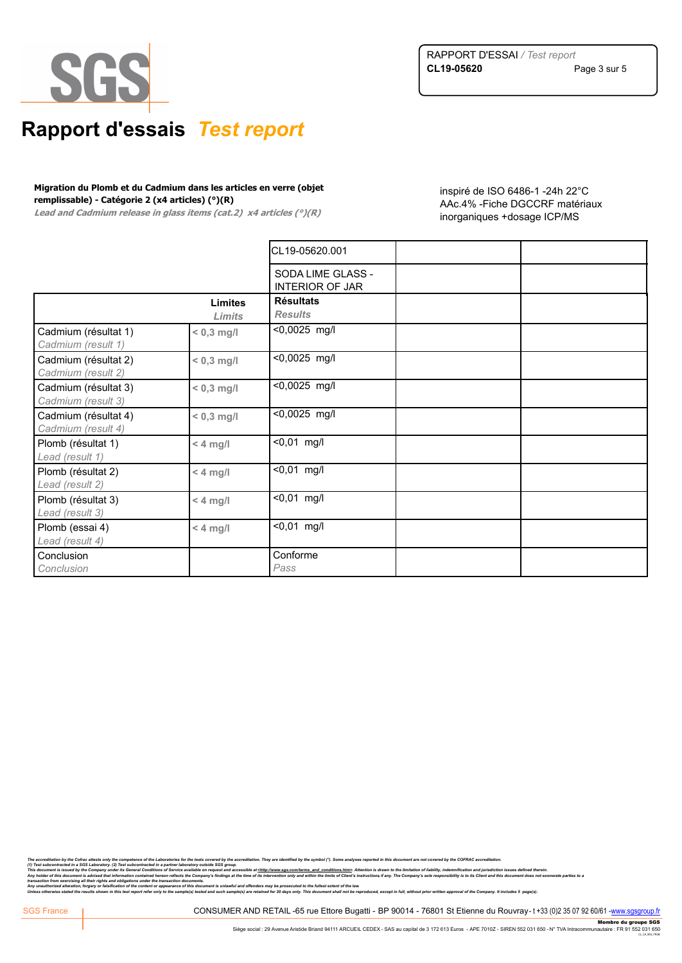

#### **Migration du Plomb et du Cadmium dans les articles en verre (objet remplissable) - Catégorie 2 (x4 articles) (°)(R)**

**Lead and Cadmium release in glass items (cat.2) x4 articles (°)(R)** 

inspiré de ISO 6486-1 -24h 22°C AAc.4% -Fiche DGCCRF matériaux inorganiques +dosage ICP/MS

|                                            |                | CL19-05620.001                              |  |
|--------------------------------------------|----------------|---------------------------------------------|--|
|                                            |                | SODA LIME GLASS -<br><b>INTERIOR OF JAR</b> |  |
|                                            | <b>Limites</b> | <b>Résultats</b>                            |  |
|                                            | Limits         | <b>Results</b>                              |  |
| Cadmium (résultat 1)<br>Cadmium (result 1) | $< 0.3$ mg/l   | <0,0025 mg/l                                |  |
| Cadmium (résultat 2)<br>Cadmium (result 2) | $< 0.3$ mg/l   | <0,0025 mg/l                                |  |
| Cadmium (résultat 3)<br>Cadmium (result 3) | $< 0.3$ mg/l   | <0,0025 mg/l                                |  |
| Cadmium (résultat 4)<br>Cadmium (result 4) | $< 0.3$ mg/l   | <0,0025 mg/l                                |  |
| Plomb (résultat 1)<br>Lead (result 1)      | $< 4$ mg/l     | $< 0,01$ mg/l                               |  |
| Plomb (résultat 2)<br>Lead (result 2)      | $<$ 4 mg/l     | $< 0.01$ mg/l                               |  |
| Plomb (résultat 3)<br>Lead (result 3)      | $<$ 4 mg/l     | $\sqrt{0,01}$ mg/l                          |  |
| Plomb (essai 4)<br>Lead (result 4)         | $< 4$ mg/l     | $< 0.01$ mg/l                               |  |
| Conclusion<br>Conclusion                   |                | Conforme<br>Pass                            |  |

The acrediation by the Content attacts only the competence of the Laboratories for the test covered by the symbol ("). Some analyses reported in this document are not covered by the COFRAC accrediation. Include to the symb

Any mauthorized alteration, forger or faisfication of the content or appearance of this document is unlawful and offenders may be prosecuted to the fullest extent of the law<br>Unless otherwise stated the results shown in thi

CONSUMER AND RETAIL -65 rue Ettore Bugatti - BP 90014 - 76801 St Etienne du Rouvray- t +33 (0)2 35 07 92 60/61 -<mark>www.sgsgroup.fr</mark><br>Siège social : 29 Avenue Aristide Briand 94111 ARCUEIL CEDEX - SAS au capital de 3 172 613 E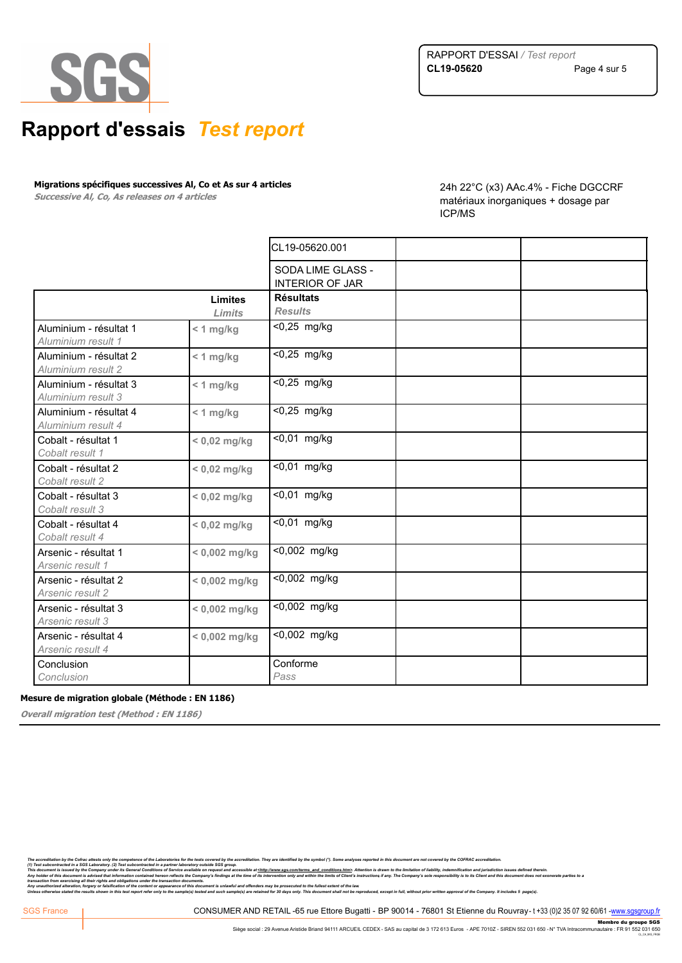

**Migrations spécifiques successives Al, Co et As sur 4 articles** 

**Successive Al, Co, As releases on 4 articles** 

24h 22°C (x3) AAc.4% - Fiche DGCCRF matériaux inorganiques + dosage par ICP/MS

|                                              |                          | CL19-05620.001                              |  |
|----------------------------------------------|--------------------------|---------------------------------------------|--|
|                                              |                          | SODA LIME GLASS -<br><b>INTERIOR OF JAR</b> |  |
|                                              | <b>Limites</b><br>Limits | <b>Résultats</b><br><b>Results</b>          |  |
| Aluminium - résultat 1<br>Aluminium result 1 | $< 1$ mg/kg              | <0,25 mg/kg                                 |  |
| Aluminium - résultat 2<br>Aluminium result 2 | $< 1$ mg/kg              | <0,25 mg/kg                                 |  |
| Aluminium - résultat 3<br>Aluminium result 3 | $< 1$ mg/kg              | $\overline{50,25}$ mg/kg                    |  |
| Aluminium - résultat 4<br>Aluminium result 4 | $< 1$ mg/kg              | $<$ 0,25 mg/kg                              |  |
| Cobalt - résultat 1<br>Cobalt result 1       | $< 0.02$ mg/kg           | <0,01 mg/kg                                 |  |
| Cobalt - résultat 2<br>Cobalt result 2       | $< 0.02$ mg/kg           | <0,01 mg/kg                                 |  |
| Cobalt - résultat 3<br>Cobalt result 3       | $< 0.02$ mg/kg           | <0,01 mg/kg                                 |  |
| Cobalt - résultat 4<br>Cobalt result 4       | $< 0.02$ mg/kg           | <0,01 mg/kg                                 |  |
| Arsenic - résultat 1<br>Arsenic result 1     | $< 0.002$ mg/kg          | <0,002 mg/kg                                |  |
| Arsenic - résultat 2<br>Arsenic result 2     | $< 0.002$ mg/kg          | $\overline{0.002}$ mg/kg                    |  |
| Arsenic - résultat 3<br>Arsenic result 3     | $< 0.002$ mg/kg          | $\overline{0,002}$ mg/kg                    |  |
| Arsenic - résultat 4<br>Arsenic result 4     | $< 0,002$ mg/kg          | <0,002 mg/kg                                |  |
| Conclusion<br>Conclusion                     |                          | Conforme<br>Pass                            |  |

### **Mesure de migration globale (Méthode : EN 1186)**

**Overall migration test (Method : EN 1186)**

The accrediation by the Corinz attests only the competence of the Laboratories for the tests covered by the accreditation. They are identified by the symbol ("). Some analyses reported in this document are not covered by t

only the complement of the Laboratories for the tests covered ty he applement on the present of the symbol ("). Some analyses reported in this document are not covered by the v.v.r.v.s. ecreatianous and the effect of the c

Any holder of this document is advised that information contained hereon reflects the company's findings at the time of its intervention only and within the limits of Client's instructions if any. The Company's sole respon

Any mauthorized alteration, forger or faisfication of the content or appearance of this document is unlawful and offenders may be prosecuted to the fullest extent of the law<br>Unless otherwise stated the results shown in thi

CONSUMER AND RETAIL -65 rue Ettore Bugatti - BP 90014 - 76801 St Etienne du Rouvray- t +33 (0)2 35 07 92 60/61 -<mark>www.sgsgroup.fr</mark><br>Siège social : 29 Avenue Aristide Briand 94111 ARCUEIL CEDEX - SAS au capital de 3 172 613 E